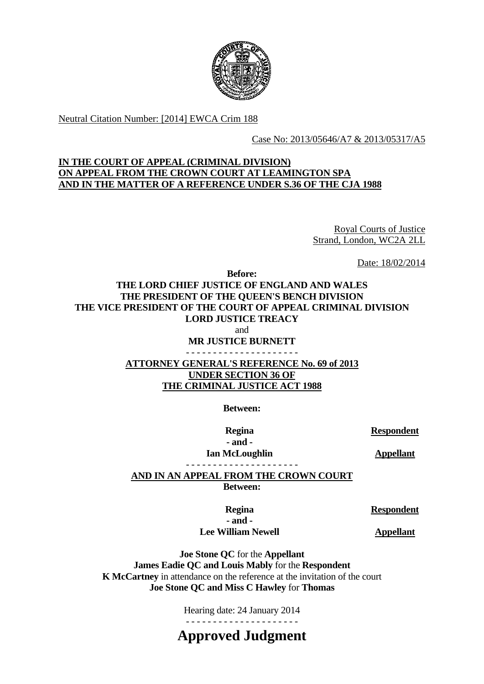

Neutral Citation Number: [2014] EWCA Crim 188

Case No: 2013/05646/A7 & 2013/05317/A5

# **IN THE COURT OF APPEAL (CRIMINAL DIVISION) ON APPEAL FROM THE CROWN COURT AT LEAMINGTON SPA AND IN THE MATTER OF A REFERENCE UNDER S.36 OF THE CJA 1988**

Royal Courts of Justice Strand, London, WC2A 2LL

Date: 18/02/2014

## **Before: THE LORD CHIEF JUSTICE OF ENGLAND AND WALES THE PRESIDENT OF THE QUEEN'S BENCH DIVISION THE VICE PRESIDENT OF THE COURT OF APPEAL CRIMINAL DIVISION LORD JUSTICE TREACY**  and

**MR JUSTICE BURNETT** 

- - - - - - - - - - - - - - - - - - - - - **ATTORNEY GENERAL'S REFERENCE No. 69 of 2013 UNDER SECTION 36 OF THE CRIMINAL JUSTICE ACT 1988** 

**Between:** 

**Regina - and -**

**Respondent** 

 **Ian McLoughlin** 

- - - - - - - - - - - - - - - - - - - - -

**Appellant** 

**AND IN AN APPEAL FROM THE CROWN COURT Between:** 

> **Regina - and - Lee William Newell**

**Respondent** 

**Appellant** 

**Joe Stone QC** for the **Appellant James Eadie QC and Louis Mably** for the **Respondent K McCartney** in attendance on the reference at the invitation of the court **Joe Stone QC and Miss C Hawley** for **Thomas** 

Hearing date: 24 January 2014

**Approved Judgment**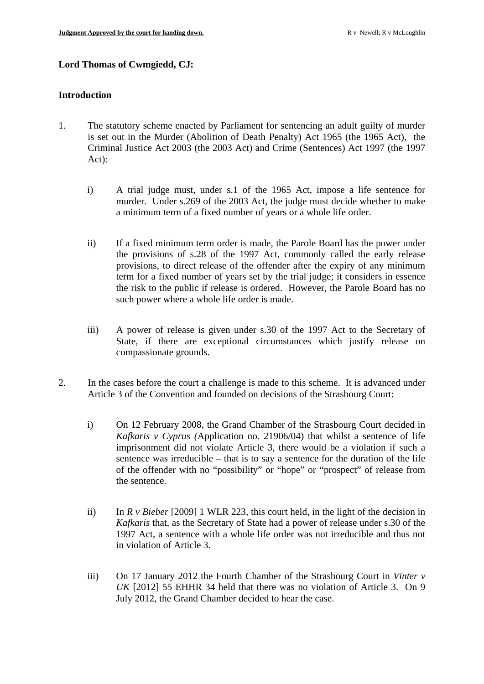#### **Lord Thomas of Cwmgiedd, CJ:**

## **Introduction**

- 1. The statutory scheme enacted by Parliament for sentencing an adult guilty of murder is set out in the Murder (Abolition of Death Penalty) Act 1965 (the 1965 Act), the Criminal Justice Act 2003 (the 2003 Act) and Crime (Sentences) Act 1997 (the 1997 Act):
	- i) A trial judge must, under s.1 of the 1965 Act, impose a life sentence for murder. Under s.269 of the 2003 Act, the judge must decide whether to make a minimum term of a fixed number of years or a whole life order.
	- ii) If a fixed minimum term order is made, the Parole Board has the power under the provisions of s.28 of the 1997 Act, commonly called the early release provisions, to direct release of the offender after the expiry of any minimum term for a fixed number of years set by the trial judge; it considers in essence the risk to the public if release is ordered. However, the Parole Board has no such power where a whole life order is made.
	- iii) A power of release is given under s.30 of the 1997 Act to the Secretary of State, if there are exceptional circumstances which justify release on compassionate grounds.
- 2. In the cases before the court a challenge is made to this scheme. It is advanced under Article 3 of the Convention and founded on decisions of the Strasbourg Court:
	- i) On 12 February 2008, the Grand Chamber of the Strasbourg Court decided in *Kafkaris v Cyprus (*Application no. 21906/04) that whilst a sentence of life imprisonment did not violate Article 3, there would be a violation if such a sentence was irreducible – that is to say a sentence for the duration of the life of the offender with no "possibility" or "hope" or "prospect" of release from the sentence.
	- ii) In *R v Bieber* [2009] 1 WLR 223, this court held, in the light of the decision in *Kafkaris* that, as the Secretary of State had a power of release under s.30 of the 1997 Act, a sentence with a whole life order was not irreducible and thus not in violation of Article 3.
	- iii) On 17 January 2012 the Fourth Chamber of the Strasbourg Court in *Vinter v UK* [2012] 55 EHHR 34 held that there was no violation of Article 3. On 9 July 2012, the Grand Chamber decided to hear the case.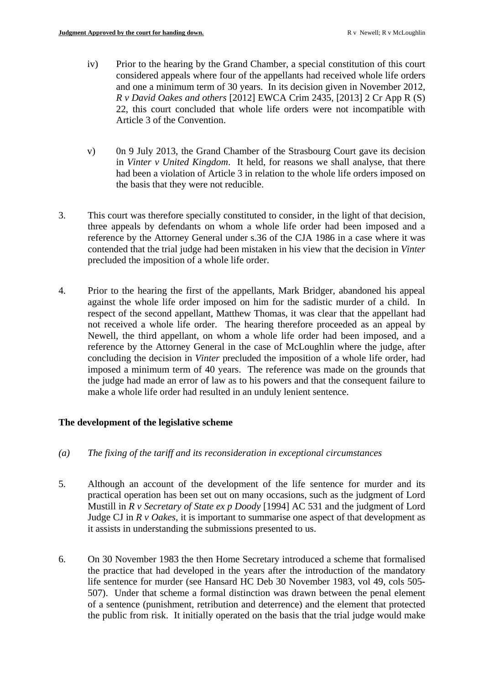- iv) Prior to the hearing by the Grand Chamber, a special constitution of this court considered appeals where four of the appellants had received whole life orders and one a minimum term of 30 years. In its decision given in November 2012, *R v David Oakes and others* [2012] EWCA Crim 2435, [2013] 2 Cr App R (S) 22, this court concluded that whole life orders were not incompatible with Article 3 of the Convention.
- v) On 9 July 2013, the Grand Chamber of the Strasbourg Court gave its decision in *Vinter v United Kingdom*. It held, for reasons we shall analyse, that there had been a violation of Article 3 in relation to the whole life orders imposed on the basis that they were not reducible.
- 3. This court was therefore specially constituted to consider, in the light of that decision, three appeals by defendants on whom a whole life order had been imposed and a reference by the Attorney General under s.36 of the CJA 1986 in a case where it was contended that the trial judge had been mistaken in his view that the decision in *Vinter*  precluded the imposition of a whole life order.
- 4. Prior to the hearing the first of the appellants, Mark Bridger, abandoned his appeal against the whole life order imposed on him for the sadistic murder of a child. In respect of the second appellant, Matthew Thomas, it was clear that the appellant had not received a whole life order. The hearing therefore proceeded as an appeal by Newell, the third appellant, on whom a whole life order had been imposed, and a reference by the Attorney General in the case of McLoughlin where the judge, after concluding the decision in *Vinter* precluded the imposition of a whole life order, had imposed a minimum term of 40 years. The reference was made on the grounds that the judge had made an error of law as to his powers and that the consequent failure to make a whole life order had resulted in an unduly lenient sentence.

## **The development of the legislative scheme**

- *(a) The fixing of the tariff and its reconsideration in exceptional circumstances*
- 5. Although an account of the development of the life sentence for murder and its practical operation has been set out on many occasions, such as the judgment of Lord Mustill in *R v Secretary of State ex p Doody* [1994] AC 531 and the judgment of Lord Judge CJ in *R v Oakes,* it is important to summarise one aspect of that development as it assists in understanding the submissions presented to us.
- 6. On 30 November 1983 the then Home Secretary introduced a scheme that formalised the practice that had developed in the years after the introduction of the mandatory life sentence for murder (see Hansard HC Deb 30 November 1983, vol 49, cols 505- 507). Under that scheme a formal distinction was drawn between the penal element of a sentence (punishment, retribution and deterrence) and the element that protected the public from risk. It initially operated on the basis that the trial judge would make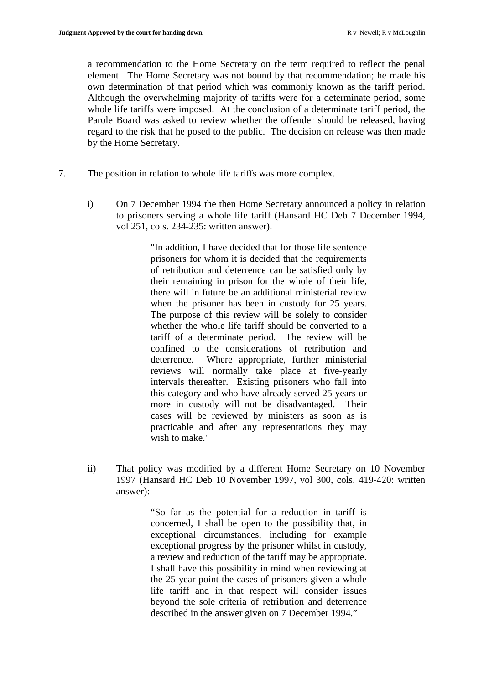a recommendation to the Home Secretary on the term required to reflect the penal element. The Home Secretary was not bound by that recommendation; he made his own determination of that period which was commonly known as the tariff period. Although the overwhelming majority of tariffs were for a determinate period, some whole life tariffs were imposed. At the conclusion of a determinate tariff period, the Parole Board was asked to review whether the offender should be released, having regard to the risk that he posed to the public. The decision on release was then made by the Home Secretary.

- 7. The position in relation to whole life tariffs was more complex.
	- i) On 7 December 1994 the then Home Secretary announced a policy in relation to prisoners serving a whole life tariff (Hansard HC Deb 7 December 1994, vol 251, cols. 234-235: written answer).

"In addition, I have decided that for those life sentence prisoners for whom it is decided that the requirements of retribution and deterrence can be satisfied only by their remaining in prison for the whole of their life, there will in future be an additional ministerial review when the prisoner has been in custody for 25 years. The purpose of this review will be solely to consider whether the whole life tariff should be converted to a tariff of a determinate period. The review will be confined to the considerations of retribution and deterrence. Where appropriate, further ministerial reviews will normally take place at five-yearly intervals thereafter. Existing prisoners who fall into this category and who have already served 25 years or more in custody will not be disadvantaged. Their cases will be reviewed by ministers as soon as is practicable and after any representations they may wish to make."

ii) That policy was modified by a different Home Secretary on 10 November 1997 (Hansard HC Deb 10 November 1997, vol 300, cols. 419-420: written answer):

> "So far as the potential for a reduction in tariff is concerned, I shall be open to the possibility that, in exceptional circumstances, including for example exceptional progress by the prisoner whilst in custody, a review and reduction of the tariff may be appropriate. I shall have this possibility in mind when reviewing at the 25-year point the cases of prisoners given a whole life tariff and in that respect will consider issues beyond the sole criteria of retribution and deterrence described in the answer given on 7 December 1994."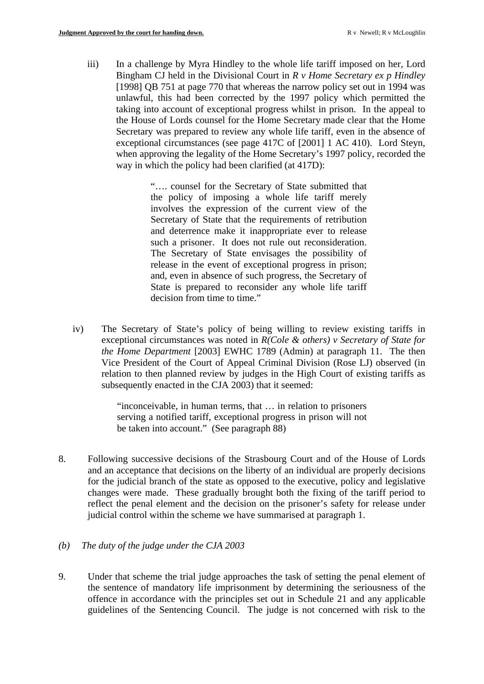iii) In a challenge by Myra Hindley to the whole life tariff imposed on her, Lord Bingham CJ held in the Divisional Court in *R v Home Secretary ex p Hindley*  [1998] QB 751 at page 770 that whereas the narrow policy set out in 1994 was unlawful, this had been corrected by the 1997 policy which permitted the taking into account of exceptional progress whilst in prison. In the appeal to the House of Lords counsel for the Home Secretary made clear that the Home Secretary was prepared to review any whole life tariff, even in the absence of exceptional circumstances (see page 417C of [2001] 1 AC 410). Lord Steyn, when approving the legality of the Home Secretary's 1997 policy, recorded the way in which the policy had been clarified (at 417D):

> "…. counsel for the Secretary of State submitted that the policy of imposing a whole life tariff merely involves the expression of the current view of the Secretary of State that the requirements of retribution and deterrence make it inappropriate ever to release such a prisoner. It does not rule out reconsideration. The Secretary of State envisages the possibility of release in the event of exceptional progress in prison; and, even in absence of such progress, the Secretary of State is prepared to reconsider any whole life tariff decision from time to time."

iv) The Secretary of State's policy of being willing to review existing tariffs in exceptional circumstances was noted in *R(Cole & others) v Secretary of State for the Home Department* [2003] EWHC 1789 (Admin) at paragraph 11. The then Vice President of the Court of Appeal Criminal Division (Rose LJ) observed (in relation to then planned review by judges in the High Court of existing tariffs as subsequently enacted in the CJA 2003) that it seemed:

> "inconceivable, in human terms, that … in relation to prisoners serving a notified tariff, exceptional progress in prison will not be taken into account." (See paragraph 88)

8. Following successive decisions of the Strasbourg Court and of the House of Lords and an acceptance that decisions on the liberty of an individual are properly decisions for the judicial branch of the state as opposed to the executive, policy and legislative changes were made. These gradually brought both the fixing of the tariff period to reflect the penal element and the decision on the prisoner's safety for release under judicial control within the scheme we have summarised at paragraph 1.

# *(b) The duty of the judge under the CJA 2003*

9. Under that scheme the trial judge approaches the task of setting the penal element of the sentence of mandatory life imprisonment by determining the seriousness of the offence in accordance with the principles set out in Schedule 21 and any applicable guidelines of the Sentencing Council. The judge is not concerned with risk to the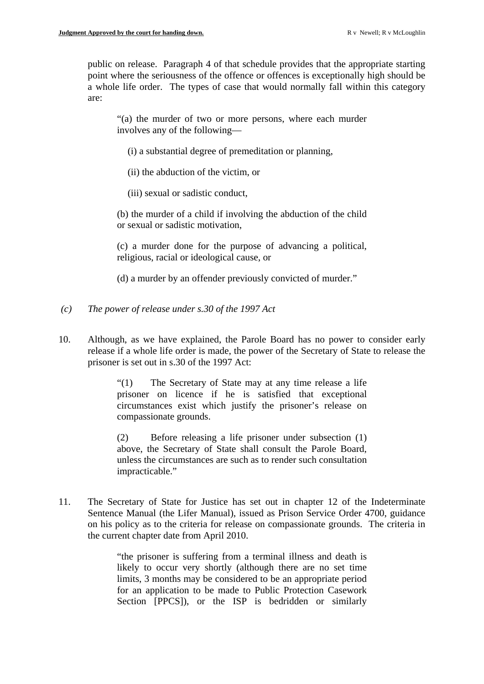public on release. Paragraph 4 of that schedule provides that the appropriate starting point where the seriousness of the offence or offences is exceptionally high should be a whole life order. The types of case that would normally fall within this category are:

"(a) the murder of two or more persons, where each murder involves any of the following—

- (i) a substantial degree of premeditation or planning,
- (ii) the abduction of the victim, or
- (iii) sexual or sadistic conduct,

(b) the murder of a child if involving the abduction of the child or sexual or sadistic motivation,

(c) a murder done for the purpose of advancing a political, religious, racial or ideological cause, or

(d) a murder by an offender previously convicted of murder."

- *(c) The power of release under s.30 of the 1997 Act*
- 10. Although, as we have explained, the Parole Board has no power to consider early release if a whole life order is made, the power of the Secretary of State to release the prisoner is set out in s.30 of the 1997 Act:

"(1) The Secretary of State may at any time release a life prisoner on licence if he is satisfied that exceptional circumstances exist which justify the prisoner's release on compassionate grounds.

(2) Before releasing a life prisoner under subsection (1) above, the Secretary of State shall consult the Parole Board, unless the circumstances are such as to render such consultation impracticable."

11. The Secretary of State for Justice has set out in chapter 12 of the Indeterminate Sentence Manual (the Lifer Manual), issued as Prison Service Order 4700, guidance on his policy as to the criteria for release on compassionate grounds. The criteria in the current chapter date from April 2010.

> "the prisoner is suffering from a terminal illness and death is likely to occur very shortly (although there are no set time limits, 3 months may be considered to be an appropriate period for an application to be made to Public Protection Casework Section [PPCS]), or the ISP is bedridden or similarly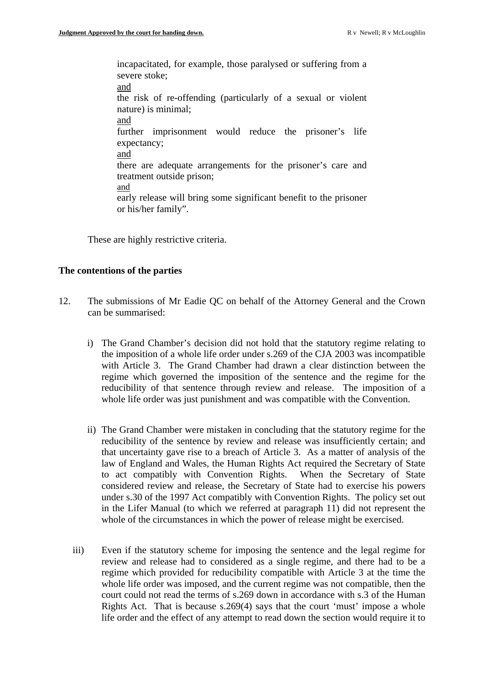and incapacitated, for example, those paralysed or suffering from a severe stoke; and the risk of re-offending (particularly of a sexual or violent nature) is minimal; further imprisonment would reduce the prisoner's life expectancy; and there are adequate arrangements for the prisoner's care and treatment outside prison; and early release will bring some significant benefit to the prisoner or his/her family".

These are highly restrictive criteria.

#### **The contentions of the parties**

- 12. The submissions of Mr Eadie QC on behalf of the Attorney General and the Crown can be summarised:
	- i) The Grand Chamber's decision did not hold that the statutory regime relating to the imposition of a whole life order under s.269 of the CJA 2003 was incompatible with Article 3. The Grand Chamber had drawn a clear distinction between the regime which governed the imposition of the sentence and the regime for the reducibility of that sentence through review and release. The imposition of a whole life order was just punishment and was compatible with the Convention.
	- ii) The Grand Chamber were mistaken in concluding that the statutory regime for the reducibility of the sentence by review and release was insufficiently certain; and that uncertainty gave rise to a breach of Article 3. As a matter of analysis of the law of England and Wales, the Human Rights Act required the Secretary of State to act compatibly with Convention Rights. When the Secretary of State considered review and release, the Secretary of State had to exercise his powers under s.30 of the 1997 Act compatibly with Convention Rights. The policy set out in the Lifer Manual (to which we referred at paragraph 11) did not represent the whole of the circumstances in which the power of release might be exercised.
	- iii) Even if the statutory scheme for imposing the sentence and the legal regime for review and release had to considered as a single regime, and there had to be a regime which provided for reducibility compatible with Article 3 at the time the whole life order was imposed, and the current regime was not compatible, then the court could not read the terms of s.269 down in accordance with s.3 of the Human Rights Act. That is because s.269(4) says that the court 'must' impose a whole life order and the effect of any attempt to read down the section would require it to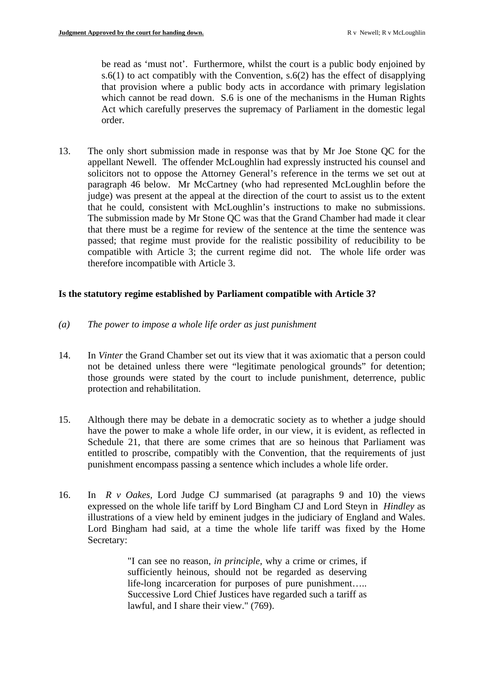be read as 'must not'. Furthermore, whilst the court is a public body enjoined by s.6(1) to act compatibly with the Convention, s.6(2) has the effect of disapplying that provision where a public body acts in accordance with primary legislation which cannot be read down. S.6 is one of the mechanisms in the Human Rights Act which carefully preserves the supremacy of Parliament in the domestic legal order.

13. The only short submission made in response was that by Mr Joe Stone QC for the appellant Newell. The offender McLoughlin had expressly instructed his counsel and solicitors not to oppose the Attorney General's reference in the terms we set out at paragraph 46 below. Mr McCartney (who had represented McLoughlin before the judge) was present at the appeal at the direction of the court to assist us to the extent that he could, consistent with McLoughlin's instructions to make no submissions. The submission made by Mr Stone QC was that the Grand Chamber had made it clear that there must be a regime for review of the sentence at the time the sentence was passed; that regime must provide for the realistic possibility of reducibility to be compatible with Article 3; the current regime did not. The whole life order was therefore incompatible with Article 3.

## **Is the statutory regime established by Parliament compatible with Article 3?**

- *(a) The power to impose a whole life order as just punishment*
- 14. In *Vinter* the Grand Chamber set out its view that it was axiomatic that a person could not be detained unless there were "legitimate penological grounds" for detention; those grounds were stated by the court to include punishment, deterrence, public protection and rehabilitation.
- 15. Although there may be debate in a democratic society as to whether a judge should have the power to make a whole life order, in our view, it is evident, as reflected in Schedule 21, that there are some crimes that are so heinous that Parliament was entitled to proscribe, compatibly with the Convention, that the requirements of just punishment encompass passing a sentence which includes a whole life order.
- 16. In *R v Oakes,* Lord Judge CJ summarised (at paragraphs 9 and 10) the views expressed on the whole life tariff by Lord Bingham CJ and Lord Steyn in *Hindley* as illustrations of a view held by eminent judges in the judiciary of England and Wales. Lord Bingham had said, at a time the whole life tariff was fixed by the Home Secretary:

"I can see no reason, *in principle*, why a crime or crimes, if sufficiently heinous, should not be regarded as deserving life-long incarceration for purposes of pure punishment….. Successive Lord Chief Justices have regarded such a tariff as lawful, and I share their view." (769).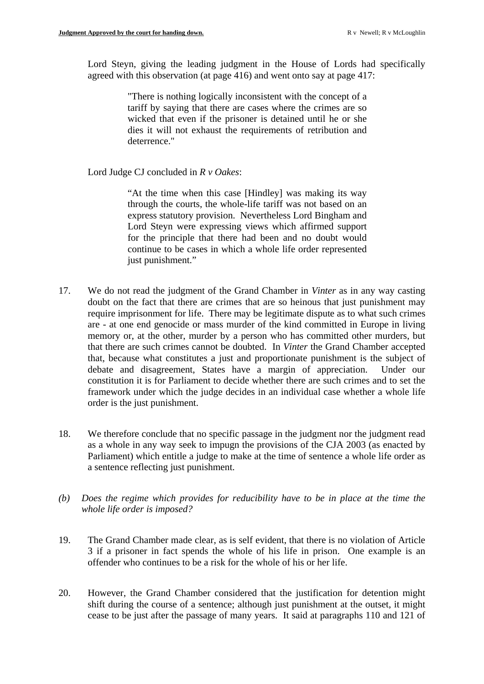Lord Steyn, giving the leading judgment in the House of Lords had specifically agreed with this observation (at page 416) and went onto say at page 417:

> "There is nothing logically inconsistent with the concept of a tariff by saying that there are cases where the crimes are so wicked that even if the prisoner is detained until he or she dies it will not exhaust the requirements of retribution and deterrence."

Lord Judge CJ concluded in *R v Oakes*:

"At the time when this case [Hindley] was making its way through the courts, the whole-life tariff was not based on an express statutory provision. Nevertheless Lord Bingham and Lord Steyn were expressing views which affirmed support for the principle that there had been and no doubt would continue to be cases in which a whole life order represented just punishment."

- 17. We do not read the judgment of the Grand Chamber in *Vinter* as in any way casting doubt on the fact that there are crimes that are so heinous that just punishment may require imprisonment for life. There may be legitimate dispute as to what such crimes are - at one end genocide or mass murder of the kind committed in Europe in living memory or, at the other, murder by a person who has committed other murders, but that there are such crimes cannot be doubted. In *Vinter* the Grand Chamber accepted that, because what constitutes a just and proportionate punishment is the subject of debate and disagreement, States have a margin of appreciation. Under our constitution it is for Parliament to decide whether there are such crimes and to set the framework under which the judge decides in an individual case whether a whole life order is the just punishment.
- 18. We therefore conclude that no specific passage in the judgment nor the judgment read as a whole in any way seek to impugn the provisions of the CJA 2003 (as enacted by Parliament) which entitle a judge to make at the time of sentence a whole life order as a sentence reflecting just punishment.
- *(b) Does the regime which provides for reducibility have to be in place at the time the whole life order is imposed?*
- 19. The Grand Chamber made clear, as is self evident, that there is no violation of Article 3 if a prisoner in fact spends the whole of his life in prison. One example is an offender who continues to be a risk for the whole of his or her life.
- 20. However, the Grand Chamber considered that the justification for detention might shift during the course of a sentence; although just punishment at the outset, it might cease to be just after the passage of many years. It said at paragraphs 110 and 121 of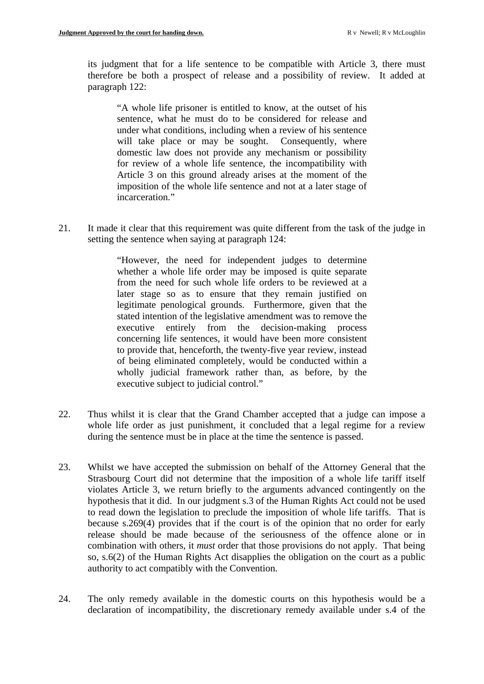its judgment that for a life sentence to be compatible with Article 3, there must therefore be both a prospect of release and a possibility of review. It added at paragraph 122:

"A whole life prisoner is entitled to know, at the outset of his sentence, what he must do to be considered for release and under what conditions, including when a review of his sentence will take place or may be sought. Consequently, where domestic law does not provide any mechanism or possibility for review of a whole life sentence, the incompatibility with Article 3 on this ground already arises at the moment of the imposition of the whole life sentence and not at a later stage of incarceration."

21. It made it clear that this requirement was quite different from the task of the judge in setting the sentence when saying at paragraph 124:

> "However, the need for independent judges to determine whether a whole life order may be imposed is quite separate from the need for such whole life orders to be reviewed at a later stage so as to ensure that they remain justified on legitimate penological grounds. Furthermore, given that the stated intention of the legislative amendment was to remove the executive entirely from the decision-making process concerning life sentences, it would have been more consistent to provide that, henceforth, the twenty-five year review, instead of being eliminated completely, would be conducted within a wholly judicial framework rather than, as before, by the executive subject to judicial control."

- 22. Thus whilst it is clear that the Grand Chamber accepted that a judge can impose a whole life order as just punishment, it concluded that a legal regime for a review during the sentence must be in place at the time the sentence is passed.
- 23. Whilst we have accepted the submission on behalf of the Attorney General that the Strasbourg Court did not determine that the imposition of a whole life tariff itself violates Article 3, we return briefly to the arguments advanced contingently on the hypothesis that it did. In our judgment s.3 of the Human Rights Act could not be used to read down the legislation to preclude the imposition of whole life tariffs. That is because s.269(4) provides that if the court is of the opinion that no order for early release should be made because of the seriousness of the offence alone or in combination with others, it *must* order that those provisions do not apply. That being so, s.6(2) of the Human Rights Act disapplies the obligation on the court as a public authority to act compatibly with the Convention.
- 24. The only remedy available in the domestic courts on this hypothesis would be a declaration of incompatibility, the discretionary remedy available under s.4 of the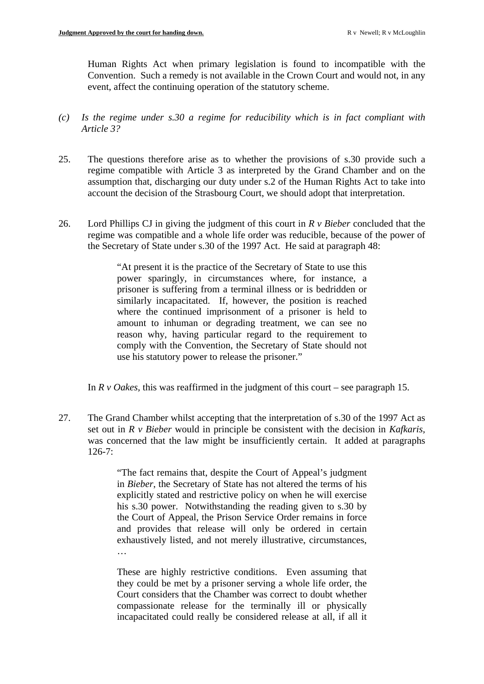Human Rights Act when primary legislation is found to incompatible with the Convention. Such a remedy is not available in the Crown Court and would not, in any event, affect the continuing operation of the statutory scheme.

- *(c) Is the regime under s.30 a regime for reducibility which is in fact compliant with Article 3?*
- 25. The questions therefore arise as to whether the provisions of s.30 provide such a regime compatible with Article 3 as interpreted by the Grand Chamber and on the assumption that, discharging our duty under s.2 of the Human Rights Act to take into account the decision of the Strasbourg Court, we should adopt that interpretation.
- 26. Lord Phillips CJ in giving the judgment of this court in *R v Bieber* concluded that the regime was compatible and a whole life order was reducible, because of the power of the Secretary of State under s.30 of the 1997 Act. He said at paragraph 48:

"At present it is the practice of the Secretary of State to use this power sparingly, in circumstances where, for instance, a prisoner is suffering from a terminal illness or is bedridden or similarly incapacitated. If, however, the position is reached where the continued imprisonment of a prisoner is held to amount to inhuman or degrading treatment, we can see no reason why, having particular regard to the requirement to comply with the Convention, the Secretary of State should not use his statutory power to release the prisoner."

In *R v Oakes,* this was reaffirmed in the judgment of this court – see paragraph 15.

27. The Grand Chamber whilst accepting that the interpretation of s.30 of the 1997 Act as set out in *R v Bieber* would in principle be consistent with the decision in *Kafkaris,*  was concerned that the law might be insufficiently certain. It added at paragraphs  $126 - 7:$ 

> "The fact remains that, despite the Court of Appeal's judgment in *Bieber*, the Secretary of State has not altered the terms of his explicitly stated and restrictive policy on when he will exercise his s.30 power. Notwithstanding the reading given to s.30 by the Court of Appeal, the Prison Service Order remains in force and provides that release will only be ordered in certain exhaustively listed, and not merely illustrative, circumstances, …

> These are highly restrictive conditions. Even assuming that they could be met by a prisoner serving a whole life order, the Court considers that the Chamber was correct to doubt whether compassionate release for the terminally ill or physically incapacitated could really be considered release at all, if all it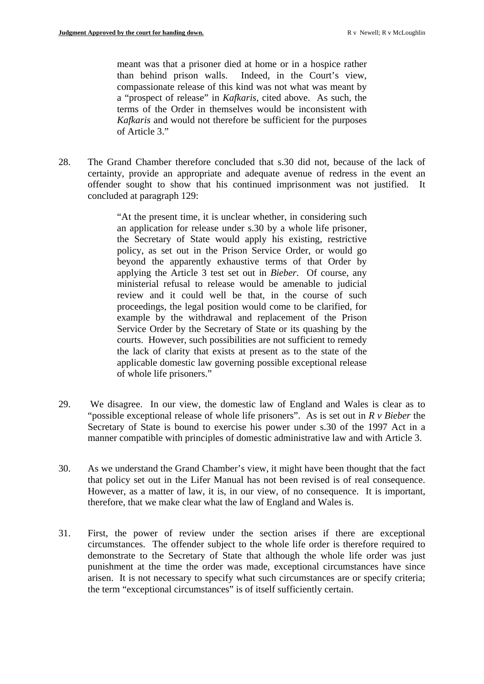meant was that a prisoner died at home or in a hospice rather than behind prison walls. Indeed, in the Court's view, compassionate release of this kind was not what was meant by a "prospect of release" in *Kafkaris*, cited above. As such, the terms of the Order in themselves would be inconsistent with *Kafkaris* and would not therefore be sufficient for the purposes of Article 3."

28. The Grand Chamber therefore concluded that s.30 did not, because of the lack of certainty, provide an appropriate and adequate avenue of redress in the event an offender sought to show that his continued imprisonment was not justified. It concluded at paragraph 129:

> "At the present time, it is unclear whether, in considering such an application for release under s.30 by a whole life prisoner, the Secretary of State would apply his existing, restrictive policy, as set out in the Prison Service Order, or would go beyond the apparently exhaustive terms of that Order by applying the Article 3 test set out in *Bieber*. Of course, any ministerial refusal to release would be amenable to judicial review and it could well be that, in the course of such proceedings, the legal position would come to be clarified, for example by the withdrawal and replacement of the Prison Service Order by the Secretary of State or its quashing by the courts. However, such possibilities are not sufficient to remedy the lack of clarity that exists at present as to the state of the applicable domestic law governing possible exceptional release of whole life prisoners."

- 29. We disagree. In our view, the domestic law of England and Wales is clear as to "possible exceptional release of whole life prisoners". As is set out in *R v Bieber* the Secretary of State is bound to exercise his power under s.30 of the 1997 Act in a manner compatible with principles of domestic administrative law and with Article 3.
- 30. As we understand the Grand Chamber's view, it might have been thought that the fact that policy set out in the Lifer Manual has not been revised is of real consequence. However, as a matter of law, it is, in our view, of no consequence. It is important, therefore, that we make clear what the law of England and Wales is.
- 31. First, the power of review under the section arises if there are exceptional circumstances. The offender subject to the whole life order is therefore required to demonstrate to the Secretary of State that although the whole life order was just punishment at the time the order was made, exceptional circumstances have since arisen. It is not necessary to specify what such circumstances are or specify criteria; the term "exceptional circumstances" is of itself sufficiently certain.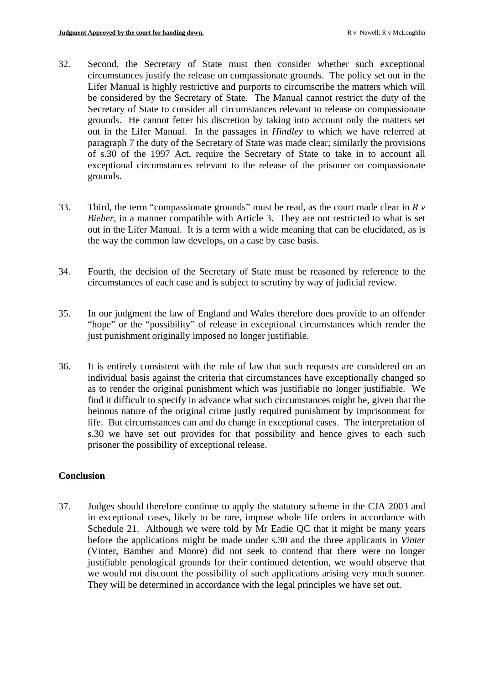- 32. Second, the Secretary of State must then consider whether such exceptional circumstances justify the release on compassionate grounds. The policy set out in the Lifer Manual is highly restrictive and purports to circumscribe the matters which will be considered by the Secretary of State. The Manual cannot restrict the duty of the Secretary of State to consider all circumstances relevant to release on compassionate grounds. He cannot fetter his discretion by taking into account only the matters set out in the Lifer Manual. In the passages in *Hindley* to which we have referred at paragraph 7 the duty of the Secretary of State was made clear; similarly the provisions of s.30 of the 1997 Act, require the Secretary of State to take in to account all exceptional circumstances relevant to the release of the prisoner on compassionate grounds.
- 33. Third, the term "compassionate grounds" must be read, as the court made clear in  $R v$ *Bieber,* in a manner compatible with Article 3. They are not restricted to what is set out in the Lifer Manual. It is a term with a wide meaning that can be elucidated, as is the way the common law develops, on a case by case basis.
- 34. Fourth, the decision of the Secretary of State must be reasoned by reference to the circumstances of each case and is subject to scrutiny by way of judicial review.
- 35. In our judgment the law of England and Wales therefore does provide to an offender "hope" or the "possibility" of release in exceptional circumstances which render the just punishment originally imposed no longer justifiable.
- 36. It is entirely consistent with the rule of law that such requests are considered on an individual basis against the criteria that circumstances have exceptionally changed so as to render the original punishment which was justifiable no longer justifiable. We find it difficult to specify in advance what such circumstances might be, given that the heinous nature of the original crime justly required punishment by imprisonment for life. But circumstances can and do change in exceptional cases. The interpretation of s.30 we have set out provides for that possibility and hence gives to each such prisoner the possibility of exceptional release.

# **Conclusion**

37. Judges should therefore continue to apply the statutory scheme in the CJA 2003 and in exceptional cases, likely to be rare, impose whole life orders in accordance with Schedule 21. Although we were told by Mr Eadie QC that it might be many years before the applications might be made under s.30 and the three applicants in *Vinter*  (Vinter, Bamber and Moore) did not seek to contend that there were no longer justifiable penological grounds for their continued detention, we would observe that we would not discount the possibility of such applications arising very much sooner. They will be determined in accordance with the legal principles we have set out.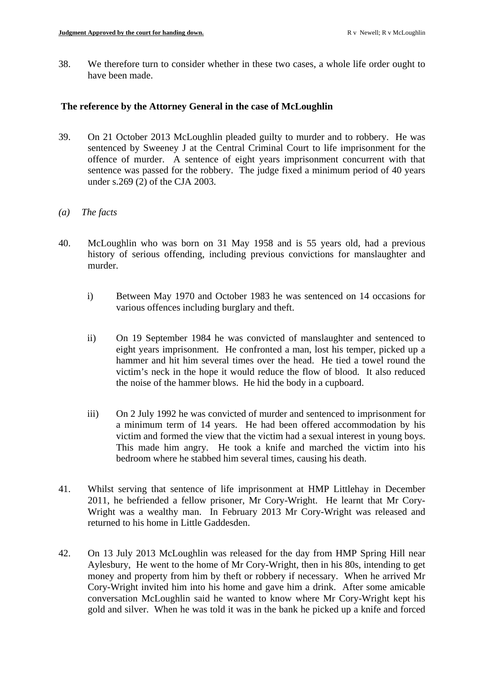38. We therefore turn to consider whether in these two cases, a whole life order ought to have been made.

## **The reference by the Attorney General in the case of McLoughlin**

- 39. On 21 October 2013 McLoughlin pleaded guilty to murder and to robbery. He was sentenced by Sweeney J at the Central Criminal Court to life imprisonment for the offence of murder. A sentence of eight years imprisonment concurrent with that sentence was passed for the robbery. The judge fixed a minimum period of 40 years under s.269 (2) of the CJA 2003.
- *(a) The facts*
- 40. McLoughlin who was born on 31 May 1958 and is 55 years old, had a previous history of serious offending, including previous convictions for manslaughter and murder.
	- i) Between May 1970 and October 1983 he was sentenced on 14 occasions for various offences including burglary and theft.
	- ii) On 19 September 1984 he was convicted of manslaughter and sentenced to eight years imprisonment. He confronted a man, lost his temper, picked up a hammer and hit him several times over the head. He tied a towel round the victim's neck in the hope it would reduce the flow of blood. It also reduced the noise of the hammer blows. He hid the body in a cupboard.
	- iii) On 2 July 1992 he was convicted of murder and sentenced to imprisonment for a minimum term of 14 years. He had been offered accommodation by his victim and formed the view that the victim had a sexual interest in young boys. This made him angry. He took a knife and marched the victim into his bedroom where he stabbed him several times, causing his death.
- 41. Whilst serving that sentence of life imprisonment at HMP Littlehay in December 2011, he befriended a fellow prisoner, Mr Cory-Wright. He learnt that Mr Cory-Wright was a wealthy man. In February 2013 Mr Cory-Wright was released and returned to his home in Little Gaddesden.
- 42. On 13 July 2013 McLoughlin was released for the day from HMP Spring Hill near Aylesbury, He went to the home of Mr Cory-Wright, then in his 80s, intending to get money and property from him by theft or robbery if necessary. When he arrived Mr Cory-Wright invited him into his home and gave him a drink. After some amicable conversation McLoughlin said he wanted to know where Mr Cory-Wright kept his gold and silver. When he was told it was in the bank he picked up a knife and forced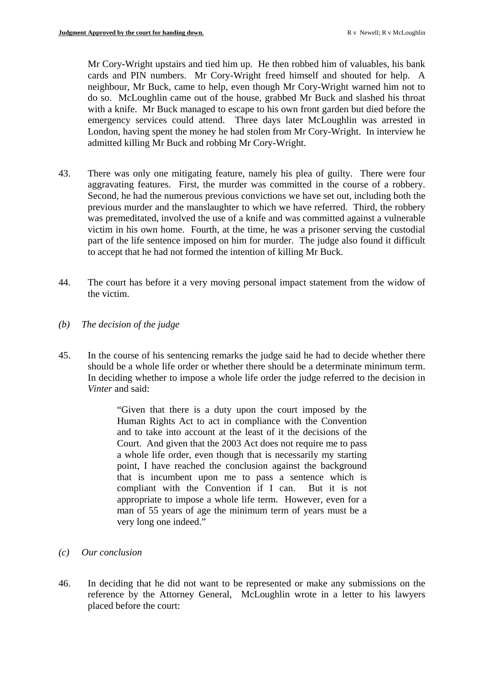Mr Cory-Wright upstairs and tied him up. He then robbed him of valuables, his bank cards and PIN numbers. Mr Cory-Wright freed himself and shouted for help. A neighbour, Mr Buck, came to help, even though Mr Cory-Wright warned him not to do so. McLoughlin came out of the house, grabbed Mr Buck and slashed his throat with a knife. Mr Buck managed to escape to his own front garden but died before the emergency services could attend. Three days later McLoughlin was arrested in London, having spent the money he had stolen from Mr Cory-Wright. In interview he admitted killing Mr Buck and robbing Mr Cory-Wright.

- 43. There was only one mitigating feature, namely his plea of guilty. There were four aggravating features. First, the murder was committed in the course of a robbery. Second, he had the numerous previous convictions we have set out, including both the previous murder and the manslaughter to which we have referred. Third, the robbery was premeditated, involved the use of a knife and was committed against a vulnerable victim in his own home. Fourth, at the time, he was a prisoner serving the custodial part of the life sentence imposed on him for murder. The judge also found it difficult to accept that he had not formed the intention of killing Mr Buck.
- 44. The court has before it a very moving personal impact statement from the widow of the victim.
- *(b) The decision of the judge*
- 45. In the course of his sentencing remarks the judge said he had to decide whether there should be a whole life order or whether there should be a determinate minimum term. In deciding whether to impose a whole life order the judge referred to the decision in *Vinter* and said:

"Given that there is a duty upon the court imposed by the Human Rights Act to act in compliance with the Convention and to take into account at the least of it the decisions of the Court. And given that the 2003 Act does not require me to pass a whole life order, even though that is necessarily my starting point, I have reached the conclusion against the background that is incumbent upon me to pass a sentence which is compliant with the Convention if I can. But it is not appropriate to impose a whole life term. However, even for a man of 55 years of age the minimum term of years must be a very long one indeed."

- *(c) Our conclusion*
- 46. In deciding that he did not want to be represented or make any submissions on the reference by the Attorney General, McLoughlin wrote in a letter to his lawyers placed before the court: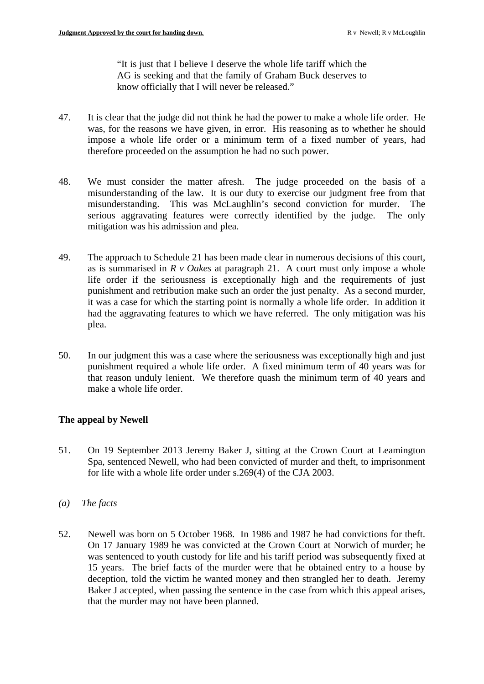"It is just that I believe I deserve the whole life tariff which the AG is seeking and that the family of Graham Buck deserves to know officially that I will never be released."

- 47. It is clear that the judge did not think he had the power to make a whole life order. He was, for the reasons we have given, in error. His reasoning as to whether he should impose a whole life order or a minimum term of a fixed number of years, had therefore proceeded on the assumption he had no such power.
- 48. We must consider the matter afresh. The judge proceeded on the basis of a misunderstanding of the law. It is our duty to exercise our judgment free from that misunderstanding. This was McLaughlin's second conviction for murder. The serious aggravating features were correctly identified by the judge. The only mitigation was his admission and plea.
- 49. The approach to Schedule 21 has been made clear in numerous decisions of this court, as is summarised in *R v Oakes* at paragraph 21. A court must only impose a whole life order if the seriousness is exceptionally high and the requirements of just punishment and retribution make such an order the just penalty. As a second murder, it was a case for which the starting point is normally a whole life order. In addition it had the aggravating features to which we have referred. The only mitigation was his plea.
- 50. In our judgment this was a case where the seriousness was exceptionally high and just punishment required a whole life order. A fixed minimum term of 40 years was for that reason unduly lenient. We therefore quash the minimum term of 40 years and make a whole life order.

## **The appeal by Newell**

- 51. On 19 September 2013 Jeremy Baker J, sitting at the Crown Court at Leamington Spa, sentenced Newell, who had been convicted of murder and theft, to imprisonment for life with a whole life order under s.269(4) of the CJA 2003.
- *(a) The facts*
- Newell was born on 5 October 1968. In 1986 and 1987 he had convictions for theft. 52. Newell was born on 5 October 1968. In 1986 and 1987 he had convictions for theft.<br>On 17 January 1989 he was convicted at the Crown Court at Norwich of murder; he was sentenced to youth custody for life and his tariff period was subsequently fixed at 15 years. The brief facts of the murder were that he obtained entry to a house by deception, told the victim he wanted money and then strangled her to death. Jeremy Baker J accepted, when passing the sentence in the case from which this appeal arises, that the murder may not have been planned.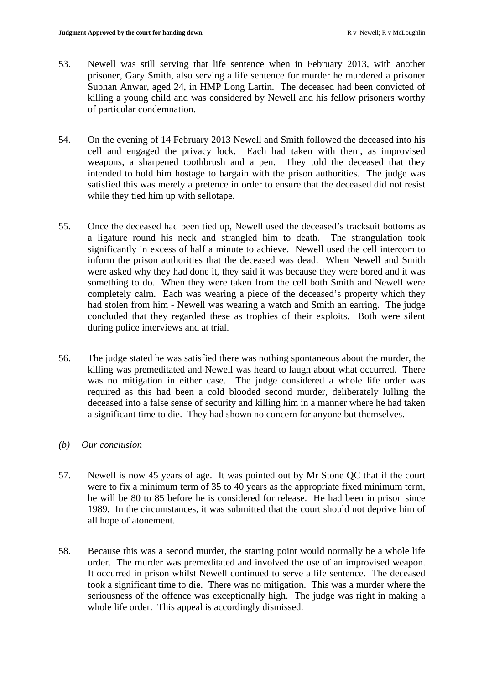- 53. Newell was still serving that life sentence when in February 2013, with another prisoner, Gary Smith, also serving a life sentence for murder he murdered a prisoner Subhan Anwar, aged 24, in HMP Long Lartin. The deceased had been convicted of killing a young child and was considered by Newell and his fellow prisoners worthy of particular condemnation.
- while they tied him up with sellotape. 54. On the evening of 14 February 2013 Newell and Smith followed the deceased into his cell and engaged the privacy lock. Each had taken with them, as improvised weapons, a sharpened toothbrush and a pen. They told the deceased that they intended to hold him hostage to bargain with the prison authorities. The judge was satisfied this was merely a pretence in order to ensure that the deceased did not resist
- 55. Once the deceased had been tied up, Newell used the deceased's tracksuit bottoms as a ligature round his neck and strangled him to death. The strangulation took significantly in excess of half a minute to achieve. Newell used the cell intercom to inform the prison authorities that the deceased was dead. When Newell and Smith were asked why they had done it, they said it was because they were bored and it was something to do. When they were taken from the cell both Smith and Newell were completely calm. Each was wearing a piece of the deceased's property which they had stolen from him - Newell was wearing a watch and Smith an earring. The judge concluded that they regarded these as trophies of their exploits. Both were silent during police interviews and at trial.
- 56. The judge stated he was satisfied there was nothing spontaneous about the murder, the killing was premeditated and Newell was heard to laugh about what occurred. There was no mitigation in either case. The judge considered a whole life order was required as this had been a cold blooded second murder, deliberately lulling the deceased into a false sense of security and killing him in a manner where he had taken a significant time to die. They had shown no concern for anyone but themselves.

## *(b) Our conclusion*

- 57. Newell is now 45 years of age. It was pointed out by Mr Stone OC that if the court were to fix a minimum term of 35 to 40 years as the appropriate fixed minimum term, he will be 80 to 85 before he is considered for release. He had been in prison since 1989. In the circumstances, it was submitted that the court should not deprive him of all hope of atonement.
- 58. Because this was a second murder, the starting point would normally be a whole life order. The murder was premeditated and involved the use of an improvised weapon. It occurred in prison whilst Newell continued to serve a life sentence. The deceased took a significant time to die. There was no mitigation. This was a murder where the seriousness of the offence was exceptionally high. The judge was right in making a whole life order. This appeal is accordingly dismissed.